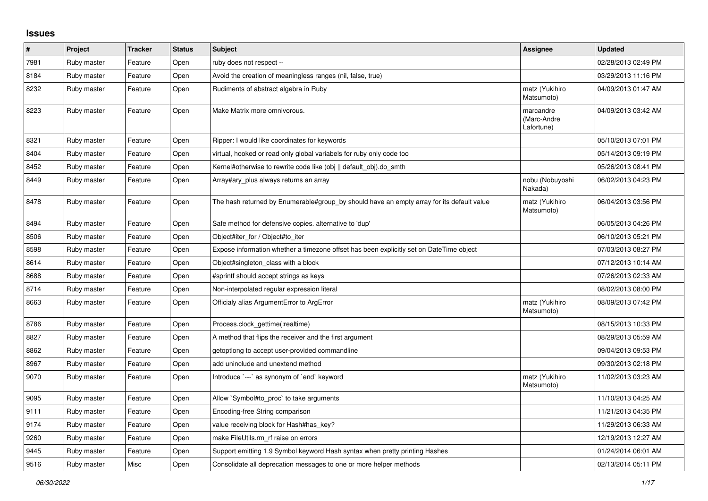## **Issues**

| $\vert$ # | Project     | <b>Tracker</b> | <b>Status</b> | <b>Subject</b>                                                                            | Assignee                               | <b>Updated</b>      |
|-----------|-------------|----------------|---------------|-------------------------------------------------------------------------------------------|----------------------------------------|---------------------|
| 7981      | Ruby master | Feature        | Open          | ruby does not respect --                                                                  |                                        | 02/28/2013 02:49 PM |
| 8184      | Ruby master | Feature        | Open          | Avoid the creation of meaningless ranges (nil, false, true)                               |                                        | 03/29/2013 11:16 PM |
| 8232      | Ruby master | Feature        | Open          | Rudiments of abstract algebra in Ruby                                                     | matz (Yukihiro<br>Matsumoto)           | 04/09/2013 01:47 AM |
| 8223      | Ruby master | Feature        | Open          | Make Matrix more omnivorous.                                                              | marcandre<br>(Marc-Andre<br>Lafortune) | 04/09/2013 03:42 AM |
| 8321      | Ruby master | Feature        | Open          | Ripper: I would like coordinates for keywords                                             |                                        | 05/10/2013 07:01 PM |
| 8404      | Ruby master | Feature        | Open          | virtual, hooked or read only global variabels for ruby only code too                      |                                        | 05/14/2013 09:19 PM |
| 8452      | Ruby master | Feature        | Open          | Kernel#otherwise to rewrite code like (obj    default obj).do smth                        |                                        | 05/26/2013 08:41 PM |
| 8449      | Ruby master | Feature        | Open          | Array#ary_plus always returns an array                                                    | nobu (Nobuyoshi<br>Nakada)             | 06/02/2013 04:23 PM |
| 8478      | Ruby master | Feature        | Open          | The hash returned by Enumerable#group_by should have an empty array for its default value | matz (Yukihiro<br>Matsumoto)           | 06/04/2013 03:56 PM |
| 8494      | Ruby master | Feature        | Open          | Safe method for defensive copies. alternative to 'dup'                                    |                                        | 06/05/2013 04:26 PM |
| 8506      | Ruby master | Feature        | Open          | Object#iter for / Object#to iter                                                          |                                        | 06/10/2013 05:21 PM |
| 8598      | Ruby master | Feature        | Open          | Expose information whether a timezone offset has been explicitly set on DateTime object   |                                        | 07/03/2013 08:27 PM |
| 8614      | Ruby master | Feature        | Open          | Object#singleton class with a block                                                       |                                        | 07/12/2013 10:14 AM |
| 8688      | Ruby master | Feature        | Open          | #sprintf should accept strings as keys                                                    |                                        | 07/26/2013 02:33 AM |
| 8714      | Ruby master | Feature        | Open          | Non-interpolated regular expression literal                                               |                                        | 08/02/2013 08:00 PM |
| 8663      | Ruby master | Feature        | Open          | Officialy alias ArgumentError to ArgError                                                 | matz (Yukihiro<br>Matsumoto)           | 08/09/2013 07:42 PM |
| 8786      | Ruby master | Feature        | Open          | Process.clock_gettime(:realtime)                                                          |                                        | 08/15/2013 10:33 PM |
| 8827      | Ruby master | Feature        | Open          | A method that flips the receiver and the first argument                                   |                                        | 08/29/2013 05:59 AM |
| 8862      | Ruby master | Feature        | Open          | getoptlong to accept user-provided commandline                                            |                                        | 09/04/2013 09:53 PM |
| 8967      | Ruby master | Feature        | Open          | add uninclude and unextend method                                                         |                                        | 09/30/2013 02:18 PM |
| 9070      | Ruby master | Feature        | Open          | Introduce `---` as synonym of `end` keyword                                               | matz (Yukihiro<br>Matsumoto)           | 11/02/2013 03:23 AM |
| 9095      | Ruby master | Feature        | Open          | Allow `Symbol#to_proc` to take arguments                                                  |                                        | 11/10/2013 04:25 AM |
| 9111      | Ruby master | Feature        | Open          | Encoding-free String comparison                                                           |                                        | 11/21/2013 04:35 PM |
| 9174      | Ruby master | Feature        | Open          | value receiving block for Hash#has key?                                                   |                                        | 11/29/2013 06:33 AM |
| 9260      | Ruby master | Feature        | Open          | make FileUtils.rm_rf raise on errors                                                      |                                        | 12/19/2013 12:27 AM |
| 9445      | Ruby master | Feature        | Open          | Support emitting 1.9 Symbol keyword Hash syntax when pretty printing Hashes               |                                        | 01/24/2014 06:01 AM |
| 9516      | Ruby master | Misc           | Open          | Consolidate all deprecation messages to one or more helper methods                        |                                        | 02/13/2014 05:11 PM |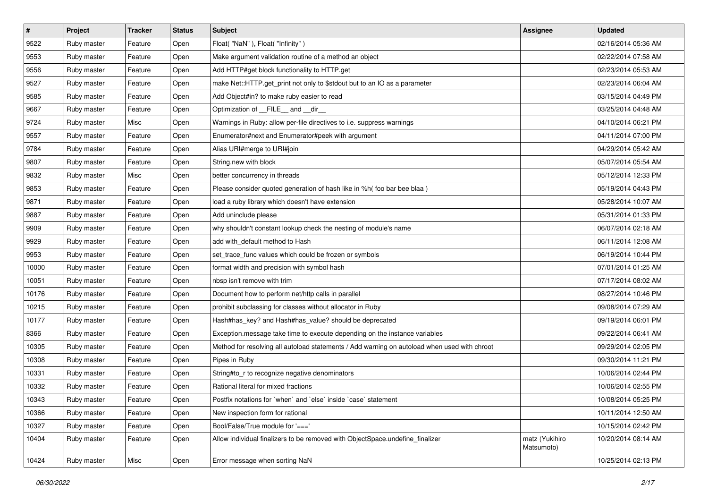| $\vert$ # | Project     | <b>Tracker</b> | <b>Status</b> | <b>Subject</b>                                                                               | Assignee                     | <b>Updated</b>      |
|-----------|-------------|----------------|---------------|----------------------------------------------------------------------------------------------|------------------------------|---------------------|
| 9522      | Ruby master | Feature        | Open          | Float("NaN"), Float("Infinity")                                                              |                              | 02/16/2014 05:36 AM |
| 9553      | Ruby master | Feature        | Open          | Make argument validation routine of a method an object                                       |                              | 02/22/2014 07:58 AM |
| 9556      | Ruby master | Feature        | Open          | Add HTTP#get block functionality to HTTP.get                                                 |                              | 02/23/2014 05:53 AM |
| 9527      | Ruby master | Feature        | Open          | make Net::HTTP.get_print not only to \$stdout but to an IO as a parameter                    |                              | 02/23/2014 06:04 AM |
| 9585      | Ruby master | Feature        | Open          | Add Object#in? to make ruby easier to read                                                   |                              | 03/15/2014 04:49 PM |
| 9667      | Ruby master | Feature        | Open          | Optimization of FILE_and _dir_                                                               |                              | 03/25/2014 04:48 AM |
| 9724      | Ruby master | Misc           | Open          | Warnings in Ruby: allow per-file directives to i.e. suppress warnings                        |                              | 04/10/2014 06:21 PM |
| 9557      | Ruby master | Feature        | Open          | Enumerator#next and Enumerator#peek with argument                                            |                              | 04/11/2014 07:00 PM |
| 9784      | Ruby master | Feature        | Open          | Alias URI#merge to URI#join                                                                  |                              | 04/29/2014 05:42 AM |
| 9807      | Ruby master | Feature        | Open          | String.new with block                                                                        |                              | 05/07/2014 05:54 AM |
| 9832      | Ruby master | Misc           | Open          | better concurrency in threads                                                                |                              | 05/12/2014 12:33 PM |
| 9853      | Ruby master | Feature        | Open          | Please consider quoted generation of hash like in %h( foo bar bee blaa)                      |                              | 05/19/2014 04:43 PM |
| 9871      | Ruby master | Feature        | Open          | load a ruby library which doesn't have extension                                             |                              | 05/28/2014 10:07 AM |
| 9887      | Ruby master | Feature        | Open          | Add uninclude please                                                                         |                              | 05/31/2014 01:33 PM |
| 9909      | Ruby master | Feature        | Open          | why shouldn't constant lookup check the nesting of module's name                             |                              | 06/07/2014 02:18 AM |
| 9929      | Ruby master | Feature        | Open          | add with_default method to Hash                                                              |                              | 06/11/2014 12:08 AM |
| 9953      | Ruby master | Feature        | Open          | set_trace_func values which could be frozen or symbols                                       |                              | 06/19/2014 10:44 PM |
| 10000     | Ruby master | Feature        | Open          | format width and precision with symbol hash                                                  |                              | 07/01/2014 01:25 AM |
| 10051     | Ruby master | Feature        | Open          | nbsp isn't remove with trim                                                                  |                              | 07/17/2014 08:02 AM |
| 10176     | Ruby master | Feature        | Open          | Document how to perform net/http calls in parallel                                           |                              | 08/27/2014 10:46 PM |
| 10215     | Ruby master | Feature        | Open          | prohibit subclassing for classes without allocator in Ruby                                   |                              | 09/08/2014 07:29 AM |
| 10177     | Ruby master | Feature        | Open          | Hash#has_key? and Hash#has_value? should be deprecated                                       |                              | 09/19/2014 06:01 PM |
| 8366      | Ruby master | Feature        | Open          | Exception.message take time to execute depending on the instance variables                   |                              | 09/22/2014 06:41 AM |
| 10305     | Ruby master | Feature        | Open          | Method for resolving all autoload statements / Add warning on autoload when used with chroot |                              | 09/29/2014 02:05 PM |
| 10308     | Ruby master | Feature        | Open          | Pipes in Ruby                                                                                |                              | 09/30/2014 11:21 PM |
| 10331     | Ruby master | Feature        | Open          | String#to_r to recognize negative denominators                                               |                              | 10/06/2014 02:44 PM |
| 10332     | Ruby master | Feature        | Open          | Rational literal for mixed fractions                                                         |                              | 10/06/2014 02:55 PM |
| 10343     | Ruby master | Feature        | Open          | Postfix notations for 'when' and 'else' inside 'case' statement                              |                              | 10/08/2014 05:25 PM |
| 10366     | Ruby master | Feature        | Open          | New inspection form for rational                                                             |                              | 10/11/2014 12:50 AM |
| 10327     | Ruby master | Feature        | Open          | Bool/False/True module for '==='                                                             |                              | 10/15/2014 02:42 PM |
| 10404     | Ruby master | Feature        | Open          | Allow individual finalizers to be removed with ObjectSpace.undefine finalizer                | matz (Yukihiro<br>Matsumoto) | 10/20/2014 08:14 AM |
| 10424     | Ruby master | Misc           | Open          | Error message when sorting NaN                                                               |                              | 10/25/2014 02:13 PM |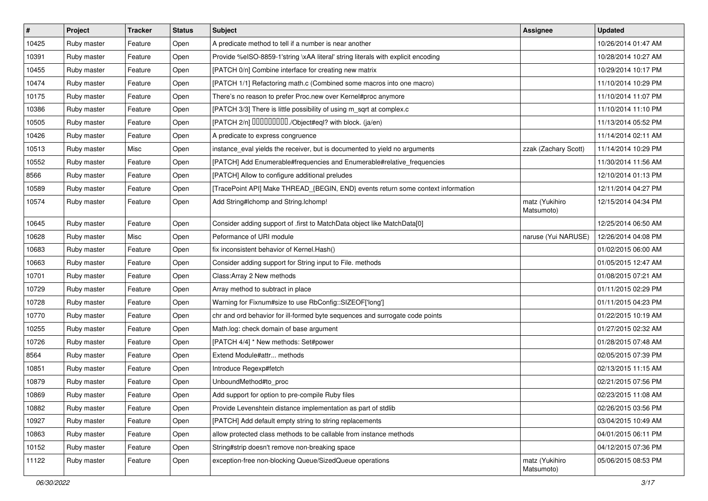| $\sharp$ | Project     | <b>Tracker</b> | <b>Status</b> | Subject                                                                          | Assignee                     | <b>Updated</b>      |
|----------|-------------|----------------|---------------|----------------------------------------------------------------------------------|------------------------------|---------------------|
| 10425    | Ruby master | Feature        | Open          | A predicate method to tell if a number is near another                           |                              | 10/26/2014 01:47 AM |
| 10391    | Ruby master | Feature        | Open          | Provide %eISO-8859-1'string \xAA literal' string literals with explicit encoding |                              | 10/28/2014 10:27 AM |
| 10455    | Ruby master | Feature        | Open          | [PATCH 0/n] Combine interface for creating new matrix                            |                              | 10/29/2014 10:17 PM |
| 10474    | Ruby master | Feature        | Open          | [PATCH 1/1] Refactoring math.c (Combined some macros into one macro)             |                              | 11/10/2014 10:29 PM |
| 10175    | Ruby master | Feature        | Open          | There's no reason to prefer Proc.new over Kernel#proc anymore                    |                              | 11/10/2014 11:07 PM |
| 10386    | Ruby master | Feature        | Open          | [PATCH 3/3] There is little possibility of using m_sqrt at complex.c             |                              | 11/10/2014 11:10 PM |
| 10505    | Ruby master | Feature        | Open          | [PATCH 2/n] DDDDDDDD./Object#eql? with block. (ja/en)                            |                              | 11/13/2014 05:52 PM |
| 10426    | Ruby master | Feature        | Open          | A predicate to express congruence                                                |                              | 11/14/2014 02:11 AM |
| 10513    | Ruby master | Misc           | Open          | instance_eval yields the receiver, but is documented to yield no arguments       | zzak (Zachary Scott)         | 11/14/2014 10:29 PM |
| 10552    | Ruby master | Feature        | Open          | [PATCH] Add Enumerable#frequencies and Enumerable#relative_frequencies           |                              | 11/30/2014 11:56 AM |
| 8566     | Ruby master | Feature        | Open          | [PATCH] Allow to configure additional preludes                                   |                              | 12/10/2014 01:13 PM |
| 10589    | Ruby master | Feature        | Open          | [TracePoint API] Make THREAD_{BEGIN, END} events return some context information |                              | 12/11/2014 04:27 PM |
| 10574    | Ruby master | Feature        | Open          | Add String#Ichomp and String.Ichomp!                                             | matz (Yukihiro<br>Matsumoto) | 12/15/2014 04:34 PM |
| 10645    | Ruby master | Feature        | Open          | Consider adding support of .first to MatchData object like MatchData[0]          |                              | 12/25/2014 06:50 AM |
| 10628    | Ruby master | Misc           | Open          | Peformance of URI module                                                         | naruse (Yui NARUSE)          | 12/26/2014 04:08 PM |
| 10683    | Ruby master | Feature        | Open          | fix inconsistent behavior of Kernel. Hash()                                      |                              | 01/02/2015 06:00 AM |
| 10663    | Ruby master | Feature        | Open          | Consider adding support for String input to File. methods                        |                              | 01/05/2015 12:47 AM |
| 10701    | Ruby master | Feature        | Open          | Class: Array 2 New methods                                                       |                              | 01/08/2015 07:21 AM |
| 10729    | Ruby master | Feature        | Open          | Array method to subtract in place                                                |                              | 01/11/2015 02:29 PM |
| 10728    | Ruby master | Feature        | Open          | Warning for Fixnum#size to use RbConfig::SIZEOF['long']                          |                              | 01/11/2015 04:23 PM |
| 10770    | Ruby master | Feature        | Open          | chr and ord behavior for ill-formed byte sequences and surrogate code points     |                              | 01/22/2015 10:19 AM |
| 10255    | Ruby master | Feature        | Open          | Math.log: check domain of base argument                                          |                              | 01/27/2015 02:32 AM |
| 10726    | Ruby master | Feature        | Open          | [PATCH 4/4] * New methods: Set#power                                             |                              | 01/28/2015 07:48 AM |
| 8564     | Ruby master | Feature        | Open          | Extend Module#attr methods                                                       |                              | 02/05/2015 07:39 PM |
| 10851    | Ruby master | Feature        | Open          | Introduce Regexp#fetch                                                           |                              | 02/13/2015 11:15 AM |
| 10879    | Ruby master | Feature        | Open          | UnboundMethod#to_proc                                                            |                              | 02/21/2015 07:56 PM |
| 10869    | Ruby master | Feature        | Open          | Add support for option to pre-compile Ruby files                                 |                              | 02/23/2015 11:08 AM |
| 10882    | Ruby master | Feature        | Open          | Provide Levenshtein distance implementation as part of stdlib                    |                              | 02/26/2015 03:56 PM |
| 10927    | Ruby master | Feature        | Open          | [PATCH] Add default empty string to string replacements                          |                              | 03/04/2015 10:49 AM |
| 10863    | Ruby master | Feature        | Open          | allow protected class methods to be callable from instance methods               |                              | 04/01/2015 06:11 PM |
| 10152    | Ruby master | Feature        | Open          | String#strip doesn't remove non-breaking space                                   |                              | 04/12/2015 07:36 PM |
| 11122    | Ruby master | Feature        | Open          | exception-free non-blocking Queue/SizedQueue operations                          | matz (Yukihiro<br>Matsumoto) | 05/06/2015 08:53 PM |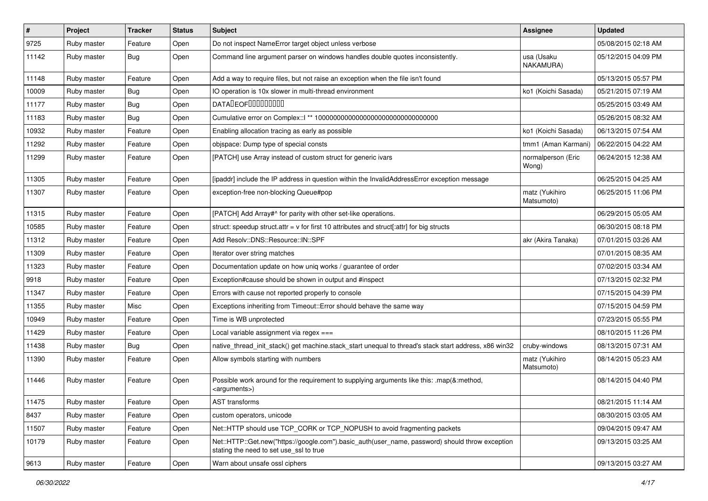| $\vert$ # | Project     | <b>Tracker</b> | <b>Status</b> | Subject                                                                                                                                    | Assignee                     | <b>Updated</b>      |
|-----------|-------------|----------------|---------------|--------------------------------------------------------------------------------------------------------------------------------------------|------------------------------|---------------------|
| 9725      | Ruby master | Feature        | Open          | Do not inspect NameError target object unless verbose                                                                                      |                              | 05/08/2015 02:18 AM |
| 11142     | Ruby master | <b>Bug</b>     | Open          | Command line argument parser on windows handles double quotes inconsistently.                                                              | usa (Usaku<br>NAKAMURA)      | 05/12/2015 04:09 PM |
| 11148     | Ruby master | Feature        | Open          | Add a way to require files, but not raise an exception when the file isn't found                                                           |                              | 05/13/2015 05:57 PM |
| 10009     | Ruby master | <b>Bug</b>     | Open          | IO operation is 10x slower in multi-thread environment                                                                                     | ko1 (Koichi Sasada)          | 05/21/2015 07:19 AM |
| 11177     | Ruby master | <b>Bug</b>     | Open          | DATALEOFILLLLLLLLLL                                                                                                                        |                              | 05/25/2015 03:49 AM |
| 11183     | Ruby master | <b>Bug</b>     | Open          |                                                                                                                                            |                              | 05/26/2015 08:32 AM |
| 10932     | Ruby master | Feature        | Open          | Enabling allocation tracing as early as possible                                                                                           | ko1 (Koichi Sasada)          | 06/13/2015 07:54 AM |
| 11292     | Ruby master | Feature        | Open          | objspace: Dump type of special consts                                                                                                      | tmm1 (Aman Karmani)          | 06/22/2015 04:22 AM |
| 11299     | Ruby master | Feature        | Open          | [PATCH] use Array instead of custom struct for generic ivars                                                                               | normalperson (Eric<br>Wong)  | 06/24/2015 12:38 AM |
| 11305     | Ruby master | Feature        | Open          | [ipaddr] include the IP address in question within the InvalidAddressError exception message                                               |                              | 06/25/2015 04:25 AM |
| 11307     | Ruby master | Feature        | Open          | exception-free non-blocking Queue#pop                                                                                                      | matz (Yukihiro<br>Matsumoto) | 06/25/2015 11:06 PM |
| 11315     | Ruby master | Feature        | Open          | [PATCH] Add Array#^ for parity with other set-like operations.                                                                             |                              | 06/29/2015 05:05 AM |
| 10585     | Ruby master | Feature        | Open          | struct: speedup struct.attr = $v$ for first 10 attributes and struct[:attr] for big structs                                                |                              | 06/30/2015 08:18 PM |
| 11312     | Ruby master | Feature        | Open          | Add Resolv::DNS::Resource::IN::SPF                                                                                                         | akr (Akira Tanaka)           | 07/01/2015 03:26 AM |
| 11309     | Ruby master | Feature        | Open          | Iterator over string matches                                                                                                               |                              | 07/01/2015 08:35 AM |
| 11323     | Ruby master | Feature        | Open          | Documentation update on how uniq works / guarantee of order                                                                                |                              | 07/02/2015 03:34 AM |
| 9918      | Ruby master | Feature        | Open          | Exception#cause should be shown in output and #inspect                                                                                     |                              | 07/13/2015 02:32 PM |
| 11347     | Ruby master | Feature        | Open          | Errors with cause not reported properly to console                                                                                         |                              | 07/15/2015 04:39 PM |
| 11355     | Ruby master | Misc           | Open          | Exceptions inheriting from Timeout:: Error should behave the same way                                                                      |                              | 07/15/2015 04:59 PM |
| 10949     | Ruby master | Feature        | Open          | Time is WB unprotected                                                                                                                     |                              | 07/23/2015 05:55 PM |
| 11429     | Ruby master | Feature        | Open          | Local variable assignment via regex ===                                                                                                    |                              | 08/10/2015 11:26 PM |
| 11438     | Ruby master | <b>Bug</b>     | Open          | native_thread_init_stack() get machine.stack_start unequal to thread's stack start address, x86 win32                                      | cruby-windows                | 08/13/2015 07:31 AM |
| 11390     | Ruby master | Feature        | Open          | Allow symbols starting with numbers                                                                                                        | matz (Yukihiro<br>Matsumoto) | 08/14/2015 05:23 AM |
| 11446     | Ruby master | Feature        | Open          | Possible work around for the requirement to supplying arguments like this: .map(&:method,<br><arguments>)</arguments>                      |                              | 08/14/2015 04:40 PM |
| 11475     | Ruby master | Feature        | Open          | AST transforms                                                                                                                             |                              | 08/21/2015 11:14 AM |
| 8437      | Ruby master | Feature        | Open          | custom operators, unicode                                                                                                                  |                              | 08/30/2015 03:05 AM |
| 11507     | Ruby master | Feature        | Open          | Net::HTTP should use TCP CORK or TCP NOPUSH to avoid fragmenting packets                                                                   |                              | 09/04/2015 09:47 AM |
| 10179     | Ruby master | Feature        | Open          | Net::HTTP::Get.new("https://google.com").basic_auth(user_name, password) should throw exception<br>stating the need to set use ssl to true |                              | 09/13/2015 03:25 AM |
| 9613      | Ruby master | Feature        | Open          | Warn about unsafe ossl ciphers                                                                                                             |                              | 09/13/2015 03:27 AM |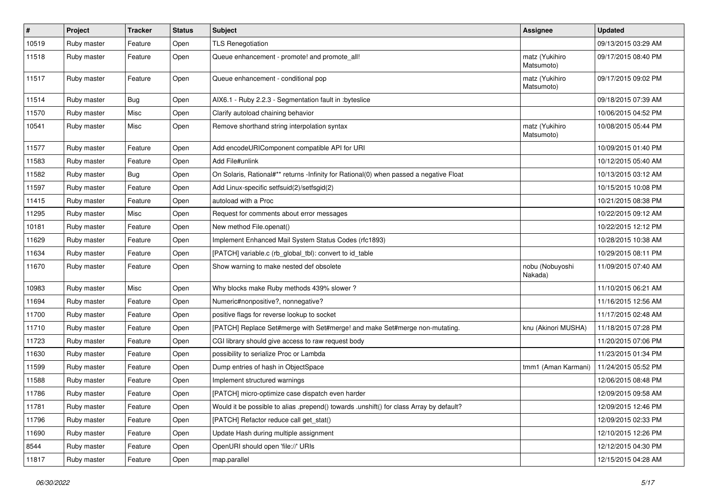| #     | Project     | <b>Tracker</b> | <b>Status</b> | <b>Subject</b>                                                                          | <b>Assignee</b>              | <b>Updated</b>      |
|-------|-------------|----------------|---------------|-----------------------------------------------------------------------------------------|------------------------------|---------------------|
| 10519 | Ruby master | Feature        | Open          | <b>TLS Renegotiation</b>                                                                |                              | 09/13/2015 03:29 AM |
| 11518 | Ruby master | Feature        | Open          | Queue enhancement - promote! and promote_all!                                           | matz (Yukihiro<br>Matsumoto) | 09/17/2015 08:40 PM |
| 11517 | Ruby master | Feature        | Open          | Queue enhancement - conditional pop                                                     | matz (Yukihiro<br>Matsumoto) | 09/17/2015 09:02 PM |
| 11514 | Ruby master | <b>Bug</b>     | Open          | AIX6.1 - Ruby 2.2.3 - Segmentation fault in :byteslice                                  |                              | 09/18/2015 07:39 AM |
| 11570 | Ruby master | Misc           | Open          | Clarify autoload chaining behavior                                                      |                              | 10/06/2015 04:52 PM |
| 10541 | Ruby master | Misc           | Open          | Remove shorthand string interpolation syntax                                            | matz (Yukihiro<br>Matsumoto) | 10/08/2015 05:44 PM |
| 11577 | Ruby master | Feature        | Open          | Add encodeURIComponent compatible API for URI                                           |                              | 10/09/2015 01:40 PM |
| 11583 | Ruby master | Feature        | Open          | Add File#unlink                                                                         |                              | 10/12/2015 05:40 AM |
| 11582 | Ruby master | <b>Bug</b>     | Open          | On Solaris, Rational#** returns -Infinity for Rational(0) when passed a negative Float  |                              | 10/13/2015 03:12 AM |
| 11597 | Ruby master | Feature        | Open          | Add Linux-specific setfsuid(2)/setfsgid(2)                                              |                              | 10/15/2015 10:08 PM |
| 11415 | Ruby master | Feature        | Open          | autoload with a Proc                                                                    |                              | 10/21/2015 08:38 PM |
| 11295 | Ruby master | Misc           | Open          | Request for comments about error messages                                               |                              | 10/22/2015 09:12 AM |
| 10181 | Ruby master | Feature        | Open          | New method File.openat()                                                                |                              | 10/22/2015 12:12 PM |
| 11629 | Ruby master | Feature        | Open          | Implement Enhanced Mail System Status Codes (rfc1893)                                   |                              | 10/28/2015 10:38 AM |
| 11634 | Ruby master | Feature        | Open          | [PATCH] variable.c (rb_global_tbl): convert to id_table                                 |                              | 10/29/2015 08:11 PM |
| 11670 | Ruby master | Feature        | Open          | Show warning to make nested def obsolete                                                | nobu (Nobuyoshi<br>Nakada)   | 11/09/2015 07:40 AM |
| 10983 | Ruby master | Misc           | Open          | Why blocks make Ruby methods 439% slower?                                               |                              | 11/10/2015 06:21 AM |
| 11694 | Ruby master | Feature        | Open          | Numeric#nonpositive?, nonnegative?                                                      |                              | 11/16/2015 12:56 AM |
| 11700 | Ruby master | Feature        | Open          | positive flags for reverse lookup to socket                                             |                              | 11/17/2015 02:48 AM |
| 11710 | Ruby master | Feature        | Open          | [PATCH] Replace Set#merge with Set#merge! and make Set#merge non-mutating.              | knu (Akinori MUSHA)          | 11/18/2015 07:28 PM |
| 11723 | Ruby master | Feature        | Open          | CGI library should give access to raw request body                                      |                              | 11/20/2015 07:06 PM |
| 11630 | Ruby master | Feature        | Open          | possibility to serialize Proc or Lambda                                                 |                              | 11/23/2015 01:34 PM |
| 11599 | Ruby master | Feature        | Open          | Dump entries of hash in ObjectSpace                                                     | tmm1 (Aman Karmani)          | 11/24/2015 05:52 PM |
| 11588 | Ruby master | Feature        | Open          | Implement structured warnings                                                           |                              | 12/06/2015 08:48 PM |
| 11786 | Ruby master | Feature        | Open          | [PATCH] micro-optimize case dispatch even harder                                        |                              | 12/09/2015 09:58 AM |
| 11781 | Ruby master | Feature        | Open          | Would it be possible to alias .prepend() towards .unshift() for class Array by default? |                              | 12/09/2015 12:46 PM |
| 11796 | Ruby master | Feature        | Open          | [PATCH] Refactor reduce call get_stat()                                                 |                              | 12/09/2015 02:33 PM |
| 11690 | Ruby master | Feature        | Open          | Update Hash during multiple assignment                                                  |                              | 12/10/2015 12:26 PM |
| 8544  | Ruby master | Feature        | Open          | OpenURI should open 'file://' URIs                                                      |                              | 12/12/2015 04:30 PM |
| 11817 | Ruby master | Feature        | Open          | map.parallel                                                                            |                              | 12/15/2015 04:28 AM |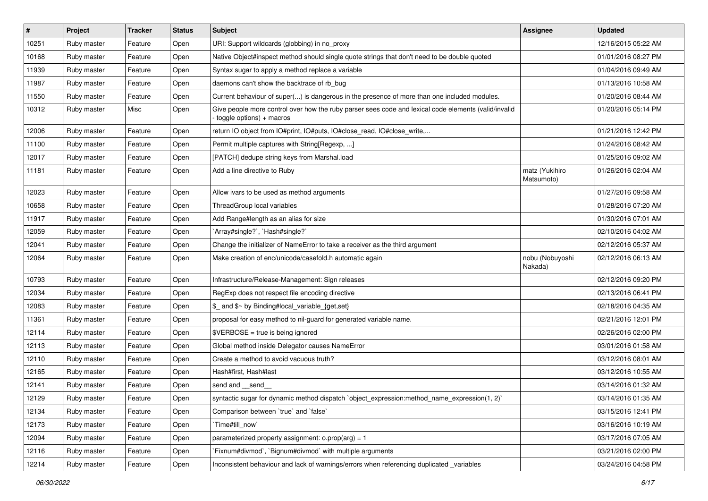| $\vert$ # | Project     | <b>Tracker</b> | <b>Status</b> | Subject                                                                                                                          | Assignee                     | <b>Updated</b>      |
|-----------|-------------|----------------|---------------|----------------------------------------------------------------------------------------------------------------------------------|------------------------------|---------------------|
| 10251     | Ruby master | Feature        | Open          | URI: Support wildcards (globbing) in no_proxy                                                                                    |                              | 12/16/2015 05:22 AM |
| 10168     | Ruby master | Feature        | Open          | Native Object#inspect method should single quote strings that don't need to be double quoted                                     |                              | 01/01/2016 08:27 PM |
| 11939     | Ruby master | Feature        | Open          | Syntax sugar to apply a method replace a variable                                                                                |                              | 01/04/2016 09:49 AM |
| 11987     | Ruby master | Feature        | Open          | daemons can't show the backtrace of rb_bug                                                                                       |                              | 01/13/2016 10:58 AM |
| 11550     | Ruby master | Feature        | Open          | Current behaviour of super() is dangerous in the presence of more than one included modules.                                     |                              | 01/20/2016 08:44 AM |
| 10312     | Ruby master | Misc           | Open          | Give people more control over how the ruby parser sees code and lexical code elements (valid/invalid<br>toggle options) + macros |                              | 01/20/2016 05:14 PM |
| 12006     | Ruby master | Feature        | Open          | return IO object from IO#print, IO#puts, IO#close_read, IO#close_write,                                                          |                              | 01/21/2016 12:42 PM |
| 11100     | Ruby master | Feature        | Open          | Permit multiple captures with String[Regexp, ]                                                                                   |                              | 01/24/2016 08:42 AM |
| 12017     | Ruby master | Feature        | Open          | [PATCH] dedupe string keys from Marshal.load                                                                                     |                              | 01/25/2016 09:02 AM |
| 11181     | Ruby master | Feature        | Open          | Add a line directive to Ruby                                                                                                     | matz (Yukihiro<br>Matsumoto) | 01/26/2016 02:04 AM |
| 12023     | Ruby master | Feature        | Open          | Allow ivars to be used as method arguments                                                                                       |                              | 01/27/2016 09:58 AM |
| 10658     | Ruby master | Feature        | Open          | ThreadGroup local variables                                                                                                      |                              | 01/28/2016 07:20 AM |
| 11917     | Ruby master | Feature        | Open          | Add Range#length as an alias for size                                                                                            |                              | 01/30/2016 07:01 AM |
| 12059     | Ruby master | Feature        | Open          | 'Array#single?', 'Hash#single?'                                                                                                  |                              | 02/10/2016 04:02 AM |
| 12041     | Ruby master | Feature        | Open          | Change the initializer of NameError to take a receiver as the third argument                                                     |                              | 02/12/2016 05:37 AM |
| 12064     | Ruby master | Feature        | Open          | Make creation of enc/unicode/casefold.h automatic again                                                                          | nobu (Nobuyoshi<br>Nakada)   | 02/12/2016 06:13 AM |
| 10793     | Ruby master | Feature        | Open          | Infrastructure/Release-Management: Sign releases                                                                                 |                              | 02/12/2016 09:20 PM |
| 12034     | Ruby master | Feature        | Open          | RegExp does not respect file encoding directive                                                                                  |                              | 02/13/2016 06:41 PM |
| 12083     | Ruby master | Feature        | Open          | \$_ and \$~ by Binding#local_variable_{get,set}                                                                                  |                              | 02/18/2016 04:35 AM |
| 11361     | Ruby master | Feature        | Open          | proposal for easy method to nil-guard for generated variable name.                                                               |                              | 02/21/2016 12:01 PM |
| 12114     | Ruby master | Feature        | Open          | $\texttt{SVERBOSE}$ = true is being ignored                                                                                      |                              | 02/26/2016 02:00 PM |
| 12113     | Ruby master | Feature        | Open          | Global method inside Delegator causes NameError                                                                                  |                              | 03/01/2016 01:58 AM |
| 12110     | Ruby master | Feature        | Open          | Create a method to avoid vacuous truth?                                                                                          |                              | 03/12/2016 08:01 AM |
| 12165     | Ruby master | Feature        | Open          | Hash#first, Hash#last                                                                                                            |                              | 03/12/2016 10:55 AM |
| 12141     | Ruby master | Feature        | Open          | send and __send_                                                                                                                 |                              | 03/14/2016 01:32 AM |
| 12129     | Ruby master | Feature        | Open          | syntactic sugar for dynamic method dispatch `object_expression:method_name_expression(1, 2)`                                     |                              | 03/14/2016 01:35 AM |
| 12134     | Ruby master | Feature        | Open          | Comparison between 'true' and 'false'                                                                                            |                              | 03/15/2016 12:41 PM |
| 12173     | Ruby master | Feature        | Open          | Time#till_now`                                                                                                                   |                              | 03/16/2016 10:19 AM |
| 12094     | Ruby master | Feature        | Open          | parameterized property assignment: $o.prop(arg) = 1$                                                                             |                              | 03/17/2016 07:05 AM |
| 12116     | Ruby master | Feature        | Open          | Fixnum#divmod`, `Bignum#divmod` with multiple arguments                                                                          |                              | 03/21/2016 02:00 PM |
| 12214     | Ruby master | Feature        | Open          | Inconsistent behaviour and lack of warnings/errors when referencing duplicated _variables                                        |                              | 03/24/2016 04:58 PM |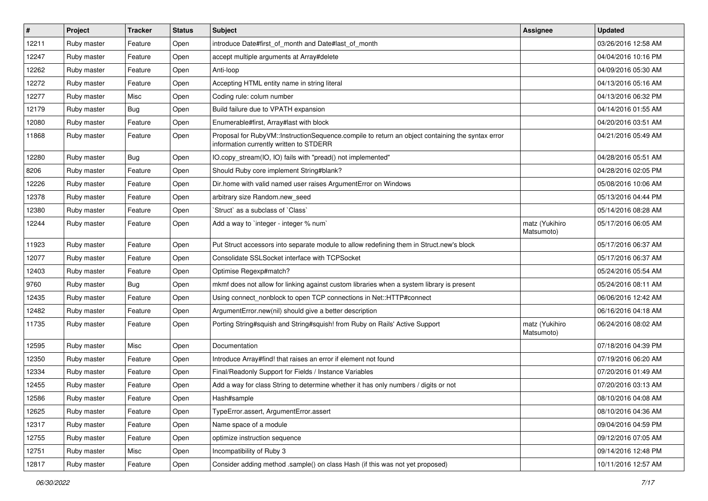| $\sharp$ | Project     | <b>Tracker</b> | <b>Status</b> | <b>Subject</b>                                                                                                                              | <b>Assignee</b>              | <b>Updated</b>      |
|----------|-------------|----------------|---------------|---------------------------------------------------------------------------------------------------------------------------------------------|------------------------------|---------------------|
| 12211    | Ruby master | Feature        | Open          | introduce Date#first_of_month and Date#last_of_month                                                                                        |                              | 03/26/2016 12:58 AM |
| 12247    | Ruby master | Feature        | Open          | accept multiple arguments at Array#delete                                                                                                   |                              | 04/04/2016 10:16 PM |
| 12262    | Ruby master | Feature        | Open          | Anti-loop                                                                                                                                   |                              | 04/09/2016 05:30 AM |
| 12272    | Ruby master | Feature        | Open          | Accepting HTML entity name in string literal                                                                                                |                              | 04/13/2016 05:16 AM |
| 12277    | Ruby master | Misc           | Open          | Coding rule: colum number                                                                                                                   |                              | 04/13/2016 06:32 PM |
| 12179    | Ruby master | <b>Bug</b>     | Open          | Build failure due to VPATH expansion                                                                                                        |                              | 04/14/2016 01:55 AM |
| 12080    | Ruby master | Feature        | Open          | Enumerable#first, Array#last with block                                                                                                     |                              | 04/20/2016 03:51 AM |
| 11868    | Ruby master | Feature        | Open          | Proposal for RubyVM::InstructionSequence.compile to return an object containing the syntax error<br>information currently written to STDERR |                              | 04/21/2016 05:49 AM |
| 12280    | Ruby master | Bug            | Open          | IO.copy_stream(IO, IO) fails with "pread() not implemented"                                                                                 |                              | 04/28/2016 05:51 AM |
| 8206     | Ruby master | Feature        | Open          | Should Ruby core implement String#blank?                                                                                                    |                              | 04/28/2016 02:05 PM |
| 12226    | Ruby master | Feature        | Open          | Dir.home with valid named user raises ArgumentError on Windows                                                                              |                              | 05/08/2016 10:06 AM |
| 12378    | Ruby master | Feature        | Open          | arbitrary size Random.new seed                                                                                                              |                              | 05/13/2016 04:44 PM |
| 12380    | Ruby master | Feature        | Open          | 'Struct' as a subclass of 'Class'                                                                                                           |                              | 05/14/2016 08:28 AM |
| 12244    | Ruby master | Feature        | Open          | Add a way to 'integer - integer % num'                                                                                                      | matz (Yukihiro<br>Matsumoto) | 05/17/2016 06:05 AM |
| 11923    | Ruby master | Feature        | Open          | Put Struct accessors into separate module to allow redefining them in Struct.new's block                                                    |                              | 05/17/2016 06:37 AM |
| 12077    | Ruby master | Feature        | Open          | Consolidate SSLSocket interface with TCPSocket                                                                                              |                              | 05/17/2016 06:37 AM |
| 12403    | Ruby master | Feature        | Open          | Optimise Regexp#match?                                                                                                                      |                              | 05/24/2016 05:54 AM |
| 9760     | Ruby master | <b>Bug</b>     | Open          | mkmf does not allow for linking against custom libraries when a system library is present                                                   |                              | 05/24/2016 08:11 AM |
| 12435    | Ruby master | Feature        | Open          | Using connect_nonblock to open TCP connections in Net::HTTP#connect                                                                         |                              | 06/06/2016 12:42 AM |
| 12482    | Ruby master | Feature        | Open          | ArgumentError.new(nil) should give a better description                                                                                     |                              | 06/16/2016 04:18 AM |
| 11735    | Ruby master | Feature        | Open          | Porting String#squish and String#squish! from Ruby on Rails' Active Support                                                                 | matz (Yukihiro<br>Matsumoto) | 06/24/2016 08:02 AM |
| 12595    | Ruby master | Misc           | Open          | Documentation                                                                                                                               |                              | 07/18/2016 04:39 PM |
| 12350    | Ruby master | Feature        | Open          | Introduce Array#find! that raises an error if element not found                                                                             |                              | 07/19/2016 06:20 AM |
| 12334    | Ruby master | Feature        | Open          | Final/Readonly Support for Fields / Instance Variables                                                                                      |                              | 07/20/2016 01:49 AM |
| 12455    | Ruby master | Feature        | Open          | Add a way for class String to determine whether it has only numbers / digits or not                                                         |                              | 07/20/2016 03:13 AM |
| 12586    | Ruby master | Feature        | Open          | Hash#sample                                                                                                                                 |                              | 08/10/2016 04:08 AM |
| 12625    | Ruby master | Feature        | Open          | TypeError.assert, ArgumentError.assert                                                                                                      |                              | 08/10/2016 04:36 AM |
| 12317    | Ruby master | Feature        | Open          | Name space of a module                                                                                                                      |                              | 09/04/2016 04:59 PM |
| 12755    | Ruby master | Feature        | Open          | optimize instruction sequence                                                                                                               |                              | 09/12/2016 07:05 AM |
| 12751    | Ruby master | Misc           | Open          | Incompatibility of Ruby 3                                                                                                                   |                              | 09/14/2016 12:48 PM |
| 12817    | Ruby master | Feature        | Open          | Consider adding method .sample() on class Hash (if this was not yet proposed)                                                               |                              | 10/11/2016 12:57 AM |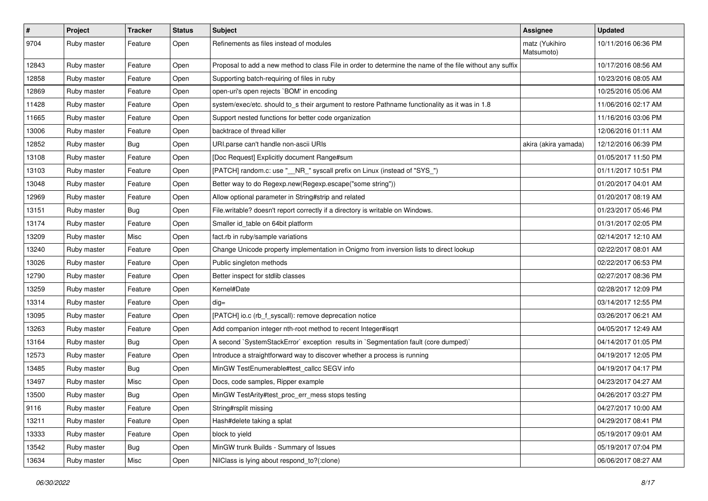| #     | Project     | <b>Tracker</b> | <b>Status</b> | <b>Subject</b>                                                                                           | <b>Assignee</b>              | <b>Updated</b>      |
|-------|-------------|----------------|---------------|----------------------------------------------------------------------------------------------------------|------------------------------|---------------------|
| 9704  | Ruby master | Feature        | Open          | Refinements as files instead of modules                                                                  | matz (Yukihiro<br>Matsumoto) | 10/11/2016 06:36 PM |
| 12843 | Ruby master | Feature        | Open          | Proposal to add a new method to class File in order to determine the name of the file without any suffix |                              | 10/17/2016 08:56 AM |
| 12858 | Ruby master | Feature        | Open          | Supporting batch-requiring of files in ruby                                                              |                              | 10/23/2016 08:05 AM |
| 12869 | Ruby master | Feature        | Open          | open-uri's open rejects `BOM' in encoding                                                                |                              | 10/25/2016 05:06 AM |
| 11428 | Ruby master | Feature        | Open          | system/exec/etc. should to_s their argument to restore Pathname functionality as it was in 1.8           |                              | 11/06/2016 02:17 AM |
| 11665 | Ruby master | Feature        | Open          | Support nested functions for better code organization                                                    |                              | 11/16/2016 03:06 PM |
| 13006 | Ruby master | Feature        | Open          | backtrace of thread killer                                                                               |                              | 12/06/2016 01:11 AM |
| 12852 | Ruby master | <b>Bug</b>     | Open          | URI.parse can't handle non-ascii URIs                                                                    | akira (akira yamada)         | 12/12/2016 06:39 PM |
| 13108 | Ruby master | Feature        | Open          | [Doc Request] Explicitly document Range#sum                                                              |                              | 01/05/2017 11:50 PM |
| 13103 | Ruby master | Feature        | Open          | [PATCH] random.c: use "__NR_" syscall prefix on Linux (instead of "SYS_")                                |                              | 01/11/2017 10:51 PM |
| 13048 | Ruby master | Feature        | Open          | Better way to do Regexp.new(Regexp.escape("some string"))                                                |                              | 01/20/2017 04:01 AM |
| 12969 | Ruby master | Feature        | Open          | Allow optional parameter in String#strip and related                                                     |                              | 01/20/2017 08:19 AM |
| 13151 | Ruby master | <b>Bug</b>     | Open          | File.writable? doesn't report correctly if a directory is writable on Windows.                           |                              | 01/23/2017 05:46 PM |
| 13174 | Ruby master | Feature        | Open          | Smaller id_table on 64bit platform                                                                       |                              | 01/31/2017 02:05 PM |
| 13209 | Ruby master | Misc           | Open          | fact.rb in ruby/sample variations                                                                        |                              | 02/14/2017 12:10 AM |
| 13240 | Ruby master | Feature        | Open          | Change Unicode property implementation in Onigmo from inversion lists to direct lookup                   |                              | 02/22/2017 08:01 AM |
| 13026 | Ruby master | Feature        | Open          | Public singleton methods                                                                                 |                              | 02/22/2017 06:53 PM |
| 12790 | Ruby master | Feature        | Open          | Better inspect for stdlib classes                                                                        |                              | 02/27/2017 08:36 PM |
| 13259 | Ruby master | Feature        | Open          | Kernel#Date                                                                                              |                              | 02/28/2017 12:09 PM |
| 13314 | Ruby master | Feature        | Open          | $dig =$                                                                                                  |                              | 03/14/2017 12:55 PM |
| 13095 | Ruby master | Feature        | Open          | [PATCH] io.c (rb_f_syscall): remove deprecation notice                                                   |                              | 03/26/2017 06:21 AM |
| 13263 | Ruby master | Feature        | Open          | Add companion integer nth-root method to recent Integer#isqrt                                            |                              | 04/05/2017 12:49 AM |
| 13164 | Ruby master | <b>Bug</b>     | Open          | A second `SystemStackError` exception results in `Segmentation fault (core dumped)`                      |                              | 04/14/2017 01:05 PM |
| 12573 | Ruby master | Feature        | Open          | Introduce a straightforward way to discover whether a process is running                                 |                              | 04/19/2017 12:05 PM |
| 13485 | Ruby master | <b>Bug</b>     | Open          | MinGW TestEnumerable#test_callcc SEGV info                                                               |                              | 04/19/2017 04:17 PM |
| 13497 | Ruby master | Misc           | Open          | Docs, code samples, Ripper example                                                                       |                              | 04/23/2017 04:27 AM |
| 13500 | Ruby master | <b>Bug</b>     | Open          | MinGW TestArity#test_proc_err_mess stops testing                                                         |                              | 04/26/2017 03:27 PM |
| 9116  | Ruby master | Feature        | Open          | String#rsplit missing                                                                                    |                              | 04/27/2017 10:00 AM |
| 13211 | Ruby master | Feature        | Open          | Hash#delete taking a splat                                                                               |                              | 04/29/2017 08:41 PM |
| 13333 | Ruby master | Feature        | Open          | block to yield                                                                                           |                              | 05/19/2017 09:01 AM |
| 13542 | Ruby master | <b>Bug</b>     | Open          | MinGW trunk Builds - Summary of Issues                                                                   |                              | 05/19/2017 07:04 PM |
| 13634 | Ruby master | Misc           | Open          | NilClass is lying about respond_to?(:clone)                                                              |                              | 06/06/2017 08:27 AM |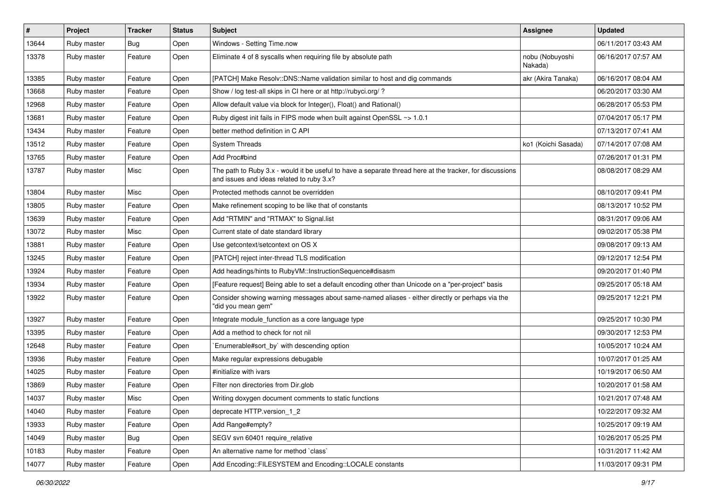| #     | Project     | <b>Tracker</b> | <b>Status</b> | Subject                                                                                                                                               | <b>Assignee</b>            | <b>Updated</b>      |
|-------|-------------|----------------|---------------|-------------------------------------------------------------------------------------------------------------------------------------------------------|----------------------------|---------------------|
| 13644 | Ruby master | <b>Bug</b>     | Open          | Windows - Setting Time.now                                                                                                                            |                            | 06/11/2017 03:43 AM |
| 13378 | Ruby master | Feature        | Open          | Eliminate 4 of 8 syscalls when requiring file by absolute path                                                                                        | nobu (Nobuyoshi<br>Nakada) | 06/16/2017 07:57 AM |
| 13385 | Ruby master | Feature        | Open          | [PATCH] Make Resolv::DNS::Name validation similar to host and dig commands                                                                            | akr (Akira Tanaka)         | 06/16/2017 08:04 AM |
| 13668 | Ruby master | Feature        | Open          | Show / log test-all skips in CI here or at http://rubyci.org/ ?                                                                                       |                            | 06/20/2017 03:30 AM |
| 12968 | Ruby master | Feature        | Open          | Allow default value via block for Integer(), Float() and Rational()                                                                                   |                            | 06/28/2017 05:53 PM |
| 13681 | Ruby master | Feature        | Open          | Ruby digest init fails in FIPS mode when built against OpenSSL ~> 1.0.1                                                                               |                            | 07/04/2017 05:17 PM |
| 13434 | Ruby master | Feature        | Open          | better method definition in C API                                                                                                                     |                            | 07/13/2017 07:41 AM |
| 13512 | Ruby master | Feature        | Open          | <b>System Threads</b>                                                                                                                                 | ko1 (Koichi Sasada)        | 07/14/2017 07:08 AM |
| 13765 | Ruby master | Feature        | Open          | Add Proc#bind                                                                                                                                         |                            | 07/26/2017 01:31 PM |
| 13787 | Ruby master | Misc           | Open          | The path to Ruby 3.x - would it be useful to have a separate thread here at the tracker, for discussions<br>and issues and ideas related to ruby 3.x? |                            | 08/08/2017 08:29 AM |
| 13804 | Ruby master | Misc           | Open          | Protected methods cannot be overridden                                                                                                                |                            | 08/10/2017 09:41 PM |
| 13805 | Ruby master | Feature        | Open          | Make refinement scoping to be like that of constants                                                                                                  |                            | 08/13/2017 10:52 PM |
| 13639 | Ruby master | Feature        | Open          | Add "RTMIN" and "RTMAX" to Signal.list                                                                                                                |                            | 08/31/2017 09:06 AM |
| 13072 | Ruby master | Misc           | Open          | Current state of date standard library                                                                                                                |                            | 09/02/2017 05:38 PM |
| 13881 | Ruby master | Feature        | Open          | Use getcontext/setcontext on OS X                                                                                                                     |                            | 09/08/2017 09:13 AM |
| 13245 | Ruby master | Feature        | Open          | [PATCH] reject inter-thread TLS modification                                                                                                          |                            | 09/12/2017 12:54 PM |
| 13924 | Ruby master | Feature        | Open          | Add headings/hints to RubyVM::InstructionSequence#disasm                                                                                              |                            | 09/20/2017 01:40 PM |
| 13934 | Ruby master | Feature        | Open          | [Feature request] Being able to set a default encoding other than Unicode on a "per-project" basis                                                    |                            | 09/25/2017 05:18 AM |
| 13922 | Ruby master | Feature        | Open          | Consider showing warning messages about same-named aliases - either directly or perhaps via the<br>"did you mean gem"                                 |                            | 09/25/2017 12:21 PM |
| 13927 | Ruby master | Feature        | Open          | Integrate module_function as a core language type                                                                                                     |                            | 09/25/2017 10:30 PM |
| 13395 | Ruby master | Feature        | Open          | Add a method to check for not nil                                                                                                                     |                            | 09/30/2017 12:53 PM |
| 12648 | Ruby master | Feature        | Open          | `Enumerable#sort_by` with descending option                                                                                                           |                            | 10/05/2017 10:24 AM |
| 13936 | Ruby master | Feature        | Open          | Make regular expressions debugable                                                                                                                    |                            | 10/07/2017 01:25 AM |
| 14025 | Ruby master | Feature        | Open          | #initialize with ivars                                                                                                                                |                            | 10/19/2017 06:50 AM |
| 13869 | Ruby master | Feature        | Open          | Filter non directories from Dir.glob                                                                                                                  |                            | 10/20/2017 01:58 AM |
| 14037 | Ruby master | Misc           | Open          | Writing doxygen document comments to static functions                                                                                                 |                            | 10/21/2017 07:48 AM |
| 14040 | Ruby master | Feature        | Open          | deprecate HTTP.version 1 2                                                                                                                            |                            | 10/22/2017 09:32 AM |
| 13933 | Ruby master | Feature        | Open          | Add Range#empty?                                                                                                                                      |                            | 10/25/2017 09:19 AM |
| 14049 | Ruby master | Bug            | Open          | SEGV svn 60401 require_relative                                                                                                                       |                            | 10/26/2017 05:25 PM |
| 10183 | Ruby master | Feature        | Open          | An alternative name for method `class`                                                                                                                |                            | 10/31/2017 11:42 AM |
| 14077 | Ruby master | Feature        | Open          | Add Encoding::FILESYSTEM and Encoding::LOCALE constants                                                                                               |                            | 11/03/2017 09:31 PM |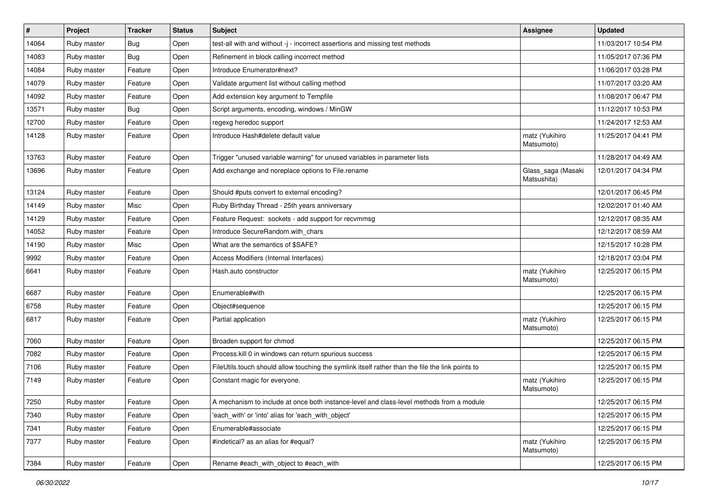| $\vert$ # | Project     | <b>Tracker</b> | <b>Status</b> | <b>Subject</b>                                                                                   | Assignee                          | <b>Updated</b>      |
|-----------|-------------|----------------|---------------|--------------------------------------------------------------------------------------------------|-----------------------------------|---------------------|
| 14064     | Ruby master | <b>Bug</b>     | Open          | test-all with and without -j - incorrect assertions and missing test methods                     |                                   | 11/03/2017 10:54 PM |
| 14083     | Ruby master | Bug            | Open          | Refinement in block calling incorrect method                                                     |                                   | 11/05/2017 07:36 PM |
| 14084     | Ruby master | Feature        | Open          | Introduce Enumerator#next?                                                                       |                                   | 11/06/2017 03:28 PM |
| 14079     | Ruby master | Feature        | Open          | Validate argument list without calling method                                                    |                                   | 11/07/2017 03:20 AM |
| 14092     | Ruby master | Feature        | Open          | Add extension key argument to Tempfile                                                           |                                   | 11/08/2017 06:47 PM |
| 13571     | Ruby master | <b>Bug</b>     | Open          | Script arguments, encoding, windows / MinGW                                                      |                                   | 11/12/2017 10:53 PM |
| 12700     | Ruby master | Feature        | Open          | regexg heredoc support                                                                           |                                   | 11/24/2017 12:53 AM |
| 14128     | Ruby master | Feature        | Open          | Introduce Hash#delete default value                                                              | matz (Yukihiro<br>Matsumoto)      | 11/25/2017 04:41 PM |
| 13763     | Ruby master | Feature        | Open          | Trigger "unused variable warning" for unused variables in parameter lists                        |                                   | 11/28/2017 04:49 AM |
| 13696     | Ruby master | Feature        | Open          | Add exchange and noreplace options to File.rename                                                | Glass_saga (Masaki<br>Matsushita) | 12/01/2017 04:34 PM |
| 13124     | Ruby master | Feature        | Open          | Should #puts convert to external encoding?                                                       |                                   | 12/01/2017 06:45 PM |
| 14149     | Ruby master | Misc           | Open          | Ruby Birthday Thread - 25th years anniversary                                                    |                                   | 12/02/2017 01:40 AM |
| 14129     | Ruby master | Feature        | Open          | Feature Request: sockets - add support for recvmmsg                                              |                                   | 12/12/2017 08:35 AM |
| 14052     | Ruby master | Feature        | Open          | Introduce SecureRandom.with chars                                                                |                                   | 12/12/2017 08:59 AM |
| 14190     | Ruby master | Misc           | Open          | What are the semantics of \$SAFE?                                                                |                                   | 12/15/2017 10:28 PM |
| 9992      | Ruby master | Feature        | Open          | Access Modifiers (Internal Interfaces)                                                           |                                   | 12/18/2017 03:04 PM |
| 6641      | Ruby master | Feature        | Open          | Hash.auto constructor                                                                            | matz (Yukihiro<br>Matsumoto)      | 12/25/2017 06:15 PM |
| 6687      | Ruby master | Feature        | Open          | Enumerable#with                                                                                  |                                   | 12/25/2017 06:15 PM |
| 6758      | Ruby master | Feature        | Open          | Object#sequence                                                                                  |                                   | 12/25/2017 06:15 PM |
| 6817      | Ruby master | Feature        | Open          | Partial application                                                                              | matz (Yukihiro<br>Matsumoto)      | 12/25/2017 06:15 PM |
| 7060      | Ruby master | Feature        | Open          | Broaden support for chmod                                                                        |                                   | 12/25/2017 06:15 PM |
| 7082      | Ruby master | Feature        | Open          | Process.kill 0 in windows can return spurious success                                            |                                   | 12/25/2017 06:15 PM |
| 7106      | Ruby master | Feature        | Open          | FileUtils.touch should allow touching the symlink itself rather than the file the link points to |                                   | 12/25/2017 06:15 PM |
| 7149      | Ruby master | Feature        | Open          | Constant magic for everyone.                                                                     | matz (Yukihiro<br>Matsumoto)      | 12/25/2017 06:15 PM |
| 7250      | Ruby master | Feature        | Open          | A mechanism to include at once both instance-level and class-level methods from a module         |                                   | 12/25/2017 06:15 PM |
| 7340      | Ruby master | Feature        | Open          | 'each with' or 'into' alias for 'each with object'                                               |                                   | 12/25/2017 06:15 PM |
| 7341      | Ruby master | Feature        | Open          | Enumerable#associate                                                                             |                                   | 12/25/2017 06:15 PM |
| 7377      | Ruby master | Feature        | Open          | #indetical? as an alias for #equal?                                                              | matz (Yukihiro<br>Matsumoto)      | 12/25/2017 06:15 PM |
| 7384      | Ruby master | Feature        | Open          | Rename #each with object to #each with                                                           |                                   | 12/25/2017 06:15 PM |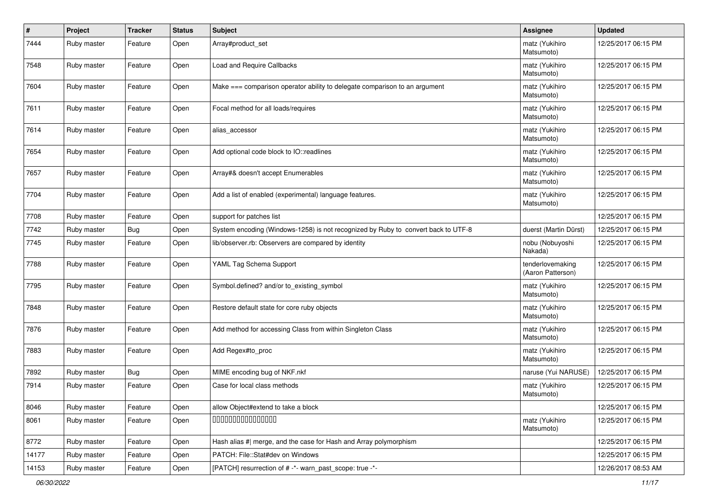| #     | Project     | <b>Tracker</b> | <b>Status</b> | <b>Subject</b>                                                                    | <b>Assignee</b>                       | <b>Updated</b>      |
|-------|-------------|----------------|---------------|-----------------------------------------------------------------------------------|---------------------------------------|---------------------|
| 7444  | Ruby master | Feature        | Open          | Array#product_set                                                                 | matz (Yukihiro<br>Matsumoto)          | 12/25/2017 06:15 PM |
| 7548  | Ruby master | Feature        | Open          | Load and Require Callbacks                                                        | matz (Yukihiro<br>Matsumoto)          | 12/25/2017 06:15 PM |
| 7604  | Ruby master | Feature        | Open          | Make === comparison operator ability to delegate comparison to an argument        | matz (Yukihiro<br>Matsumoto)          | 12/25/2017 06:15 PM |
| 7611  | Ruby master | Feature        | Open          | Focal method for all loads/requires                                               | matz (Yukihiro<br>Matsumoto)          | 12/25/2017 06:15 PM |
| 7614  | Ruby master | Feature        | Open          | alias_accessor                                                                    | matz (Yukihiro<br>Matsumoto)          | 12/25/2017 06:15 PM |
| 7654  | Ruby master | Feature        | Open          | Add optional code block to IO::readlines                                          | matz (Yukihiro<br>Matsumoto)          | 12/25/2017 06:15 PM |
| 7657  | Ruby master | Feature        | Open          | Array#& doesn't accept Enumerables                                                | matz (Yukihiro<br>Matsumoto)          | 12/25/2017 06:15 PM |
| 7704  | Ruby master | Feature        | Open          | Add a list of enabled (experimental) language features.                           | matz (Yukihiro<br>Matsumoto)          | 12/25/2017 06:15 PM |
| 7708  | Ruby master | Feature        | Open          | support for patches list                                                          |                                       | 12/25/2017 06:15 PM |
| 7742  | Ruby master | <b>Bug</b>     | Open          | System encoding (Windows-1258) is not recognized by Ruby to convert back to UTF-8 | duerst (Martin Dürst)                 | 12/25/2017 06:15 PM |
| 7745  | Ruby master | Feature        | Open          | lib/observer.rb: Observers are compared by identity                               | nobu (Nobuyoshi<br>Nakada)            | 12/25/2017 06:15 PM |
| 7788  | Ruby master | Feature        | Open          | YAML Tag Schema Support                                                           | tenderlovemaking<br>(Aaron Patterson) | 12/25/2017 06:15 PM |
| 7795  | Ruby master | Feature        | Open          | Symbol.defined? and/or to_existing_symbol                                         | matz (Yukihiro<br>Matsumoto)          | 12/25/2017 06:15 PM |
| 7848  | Ruby master | Feature        | Open          | Restore default state for core ruby objects                                       | matz (Yukihiro<br>Matsumoto)          | 12/25/2017 06:15 PM |
| 7876  | Ruby master | Feature        | Open          | Add method for accessing Class from within Singleton Class                        | matz (Yukihiro<br>Matsumoto)          | 12/25/2017 06:15 PM |
| 7883  | Ruby master | Feature        | Open          | Add Regex#to_proc                                                                 | matz (Yukihiro<br>Matsumoto)          | 12/25/2017 06:15 PM |
| 7892  | Ruby master | <b>Bug</b>     | Open          | MIME encoding bug of NKF.nkf                                                      | naruse (Yui NARUSE)                   | 12/25/2017 06:15 PM |
| 7914  | Ruby master | Feature        | Open          | Case for local class methods                                                      | matz (Yukihiro<br>Matsumoto)          | 12/25/2017 06:15 PM |
| 8046  | Ruby master | Feature        | Open          | allow Object#extend to take a block                                               |                                       | 12/25/2017 06:15 PM |
| 8061  | Ruby master | Feature        | Open          | 000000000000000                                                                   | matz (Yukihiro<br>Matsumoto)          | 12/25/2017 06:15 PM |
| 8772  | Ruby master | Feature        | Open          | Hash alias #  merge, and the case for Hash and Array polymorphism                 |                                       | 12/25/2017 06:15 PM |
| 14177 | Ruby master | Feature        | Open          | PATCH: File::Stat#dev on Windows                                                  |                                       | 12/25/2017 06:15 PM |
| 14153 | Ruby master | Feature        | Open          | [PATCH] resurrection of # -*- warn_past_scope: true -*-                           |                                       | 12/26/2017 08:53 AM |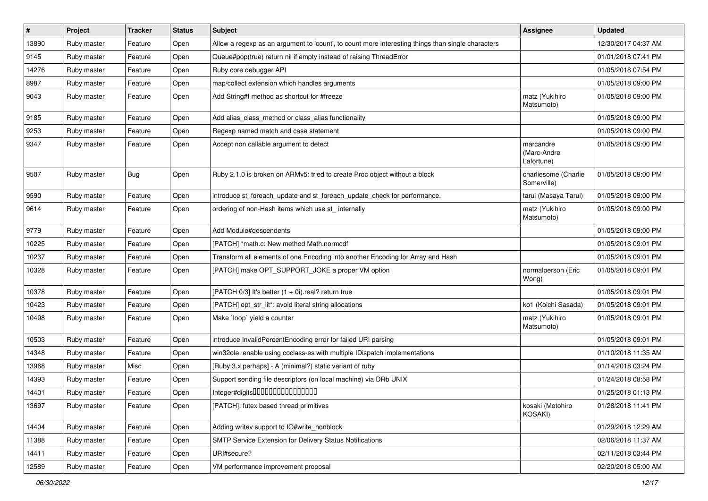| $\vert$ # | Project     | <b>Tracker</b> | <b>Status</b> | <b>Subject</b>                                                                                    | <b>Assignee</b>                        | <b>Updated</b>      |
|-----------|-------------|----------------|---------------|---------------------------------------------------------------------------------------------------|----------------------------------------|---------------------|
| 13890     | Ruby master | Feature        | Open          | Allow a regexp as an argument to 'count', to count more interesting things than single characters |                                        | 12/30/2017 04:37 AM |
| 9145      | Ruby master | Feature        | Open          | Queue#pop(true) return nil if empty instead of raising ThreadError                                |                                        | 01/01/2018 07:41 PM |
| 14276     | Ruby master | Feature        | Open          | Ruby core debugger API                                                                            |                                        | 01/05/2018 07:54 PM |
| 8987      | Ruby master | Feature        | Open          | map/collect extension which handles arguments                                                     |                                        | 01/05/2018 09:00 PM |
| 9043      | Ruby master | Feature        | Open          | Add String#f method as shortcut for #freeze                                                       | matz (Yukihiro<br>Matsumoto)           | 01/05/2018 09:00 PM |
| 9185      | Ruby master | Feature        | Open          | Add alias_class_method or class_alias functionality                                               |                                        | 01/05/2018 09:00 PM |
| 9253      | Ruby master | Feature        | Open          | Regexp named match and case statement                                                             |                                        | 01/05/2018 09:00 PM |
| 9347      | Ruby master | Feature        | Open          | Accept non callable argument to detect                                                            | marcandre<br>(Marc-Andre<br>Lafortune) | 01/05/2018 09:00 PM |
| 9507      | Ruby master | <b>Bug</b>     | Open          | Ruby 2.1.0 is broken on ARMv5: tried to create Proc object without a block                        | charliesome (Charlie<br>Somerville)    | 01/05/2018 09:00 PM |
| 9590      | Ruby master | Feature        | Open          | introduce st foreach update and st foreach update check for performance.                          | tarui (Masaya Tarui)                   | 01/05/2018 09:00 PM |
| 9614      | Ruby master | Feature        | Open          | ordering of non-Hash items which use st_ internally                                               | matz (Yukihiro<br>Matsumoto)           | 01/05/2018 09:00 PM |
| 9779      | Ruby master | Feature        | Open          | Add Module#descendents                                                                            |                                        | 01/05/2018 09:00 PM |
| 10225     | Ruby master | Feature        | Open          | [PATCH] *math.c: New method Math.normcdf                                                          |                                        | 01/05/2018 09:01 PM |
| 10237     | Ruby master | Feature        | Open          | Transform all elements of one Encoding into another Encoding for Array and Hash                   |                                        | 01/05/2018 09:01 PM |
| 10328     | Ruby master | Feature        | Open          | [PATCH] make OPT_SUPPORT_JOKE a proper VM option                                                  | normalperson (Eric<br>Wong)            | 01/05/2018 09:01 PM |
| 10378     | Ruby master | Feature        | Open          | [PATCH 0/3] It's better $(1 + 0i)$ real? return true                                              |                                        | 01/05/2018 09:01 PM |
| 10423     | Ruby master | Feature        | Open          | [PATCH] opt_str_lit*: avoid literal string allocations                                            | ko1 (Koichi Sasada)                    | 01/05/2018 09:01 PM |
| 10498     | Ruby master | Feature        | Open          | Make `loop` yield a counter                                                                       | matz (Yukihiro<br>Matsumoto)           | 01/05/2018 09:01 PM |
| 10503     | Ruby master | Feature        | Open          | introduce InvalidPercentEncoding error for failed URI parsing                                     |                                        | 01/05/2018 09:01 PM |
| 14348     | Ruby master | Feature        | Open          | win32ole: enable using coclass-es with multiple IDispatch implementations                         |                                        | 01/10/2018 11:35 AM |
| 13968     | Ruby master | Misc           | Open          | [Ruby 3.x perhaps] - A (minimal?) static variant of ruby                                          |                                        | 01/14/2018 03:24 PM |
| 14393     | Ruby master | Feature        | Open          | Support sending file descriptors (on local machine) via DRb UNIX                                  |                                        | 01/24/2018 08:58 PM |
| 14401     | Ruby master | Feature        | Open          | Integer#digits000000000000000                                                                     |                                        | 01/25/2018 01:13 PM |
| 13697     | Ruby master | Feature        | Open          | [PATCH]: futex based thread primitives                                                            | kosaki (Motohiro<br>KOSAKI)            | 01/28/2018 11:41 PM |
| 14404     | Ruby master | Feature        | Open          | Adding writev support to IO#write_nonblock                                                        |                                        | 01/29/2018 12:29 AM |
| 11388     | Ruby master | Feature        | Open          | SMTP Service Extension for Delivery Status Notifications                                          |                                        | 02/06/2018 11:37 AM |
| 14411     | Ruby master | Feature        | Open          | URI#secure?                                                                                       |                                        | 02/11/2018 03:44 PM |
| 12589     | Ruby master | Feature        | Open          | VM performance improvement proposal                                                               |                                        | 02/20/2018 05:00 AM |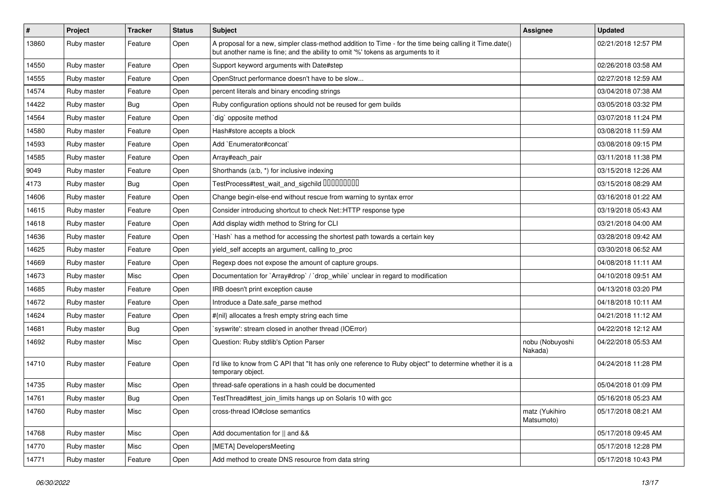| $\sharp$ | Project     | <b>Tracker</b> | <b>Status</b> | <b>Subject</b>                                                                                                                                                                             | Assignee                     | <b>Updated</b>      |
|----------|-------------|----------------|---------------|--------------------------------------------------------------------------------------------------------------------------------------------------------------------------------------------|------------------------------|---------------------|
| 13860    | Ruby master | Feature        | Open          | A proposal for a new, simpler class-method addition to Time - for the time being calling it Time.date()<br>but another name is fine; and the ability to omit '%' tokens as arguments to it |                              | 02/21/2018 12:57 PM |
| 14550    | Ruby master | Feature        | Open          | Support keyword arguments with Date#step                                                                                                                                                   |                              | 02/26/2018 03:58 AM |
| 14555    | Ruby master | Feature        | Open          | OpenStruct performance doesn't have to be slow                                                                                                                                             |                              | 02/27/2018 12:59 AM |
| 14574    | Ruby master | Feature        | Open          | percent literals and binary encoding strings                                                                                                                                               |                              | 03/04/2018 07:38 AM |
| 14422    | Ruby master | <b>Bug</b>     | Open          | Ruby configuration options should not be reused for gem builds                                                                                                                             |                              | 03/05/2018 03:32 PM |
| 14564    | Ruby master | Feature        | Open          | dig` opposite method                                                                                                                                                                       |                              | 03/07/2018 11:24 PM |
| 14580    | Ruby master | Feature        | Open          | Hash#store accepts a block                                                                                                                                                                 |                              | 03/08/2018 11:59 AM |
| 14593    | Ruby master | Feature        | Open          | Add `Enumerator#concat`                                                                                                                                                                    |                              | 03/08/2018 09:15 PM |
| 14585    | Ruby master | Feature        | Open          | Array#each_pair                                                                                                                                                                            |                              | 03/11/2018 11:38 PM |
| 9049     | Ruby master | Feature        | Open          | Shorthands (a:b, *) for inclusive indexing                                                                                                                                                 |                              | 03/15/2018 12:26 AM |
| 4173     | Ruby master | <b>Bug</b>     | Open          | TestProcess#test_wait_and_sigchild 00000000                                                                                                                                                |                              | 03/15/2018 08:29 AM |
| 14606    | Ruby master | Feature        | Open          | Change begin-else-end without rescue from warning to syntax error                                                                                                                          |                              | 03/16/2018 01:22 AM |
| 14615    | Ruby master | Feature        | Open          | Consider introducing shortcut to check Net::HTTP response type                                                                                                                             |                              | 03/19/2018 05:43 AM |
| 14618    | Ruby master | Feature        | Open          | Add display width method to String for CLI                                                                                                                                                 |                              | 03/21/2018 04:00 AM |
| 14636    | Ruby master | Feature        | Open          | Hash` has a method for accessing the shortest path towards a certain key                                                                                                                   |                              | 03/28/2018 09:42 AM |
| 14625    | Ruby master | Feature        | Open          | yield_self accepts an argument, calling to_proc                                                                                                                                            |                              | 03/30/2018 06:52 AM |
| 14669    | Ruby master | Feature        | Open          | Regexp does not expose the amount of capture groups.                                                                                                                                       |                              | 04/08/2018 11:11 AM |
| 14673    | Ruby master | Misc           | Open          | Documentation for `Array#drop` / `drop_while` unclear in regard to modification                                                                                                            |                              | 04/10/2018 09:51 AM |
| 14685    | Ruby master | Feature        | Open          | IRB doesn't print exception cause                                                                                                                                                          |                              | 04/13/2018 03:20 PM |
| 14672    | Ruby master | Feature        | Open          | Introduce a Date.safe parse method                                                                                                                                                         |                              | 04/18/2018 10:11 AM |
| 14624    | Ruby master | Feature        | Open          | #{nil} allocates a fresh empty string each time                                                                                                                                            |                              | 04/21/2018 11:12 AM |
| 14681    | Ruby master | <b>Bug</b>     | Open          | `syswrite': stream closed in another thread (IOError)                                                                                                                                      |                              | 04/22/2018 12:12 AM |
| 14692    | Ruby master | Misc           | Open          | Question: Ruby stdlib's Option Parser                                                                                                                                                      | nobu (Nobuyoshi<br>Nakada)   | 04/22/2018 05:53 AM |
| 14710    | Ruby master | Feature        | Open          | I'd like to know from C API that "It has only one reference to Ruby object" to determine whether it is a<br>temporary object.                                                              |                              | 04/24/2018 11:28 PM |
| 14735    | Ruby master | Misc           | Open          | thread-safe operations in a hash could be documented                                                                                                                                       |                              | 05/04/2018 01:09 PM |
| 14761    | Ruby master | Bug            | Open          | TestThread#test_join_limits hangs up on Solaris 10 with gcc                                                                                                                                |                              | 05/16/2018 05:23 AM |
| 14760    | Ruby master | Misc           | Open          | cross-thread IO#close semantics                                                                                                                                                            | matz (Yukihiro<br>Matsumoto) | 05/17/2018 08:21 AM |
| 14768    | Ruby master | Misc           | Open          | Add documentation for    and &&                                                                                                                                                            |                              | 05/17/2018 09:45 AM |
| 14770    | Ruby master | Misc           | Open          | [META] DevelopersMeeting                                                                                                                                                                   |                              | 05/17/2018 12:28 PM |
| 14771    | Ruby master | Feature        | Open          | Add method to create DNS resource from data string                                                                                                                                         |                              | 05/17/2018 10:43 PM |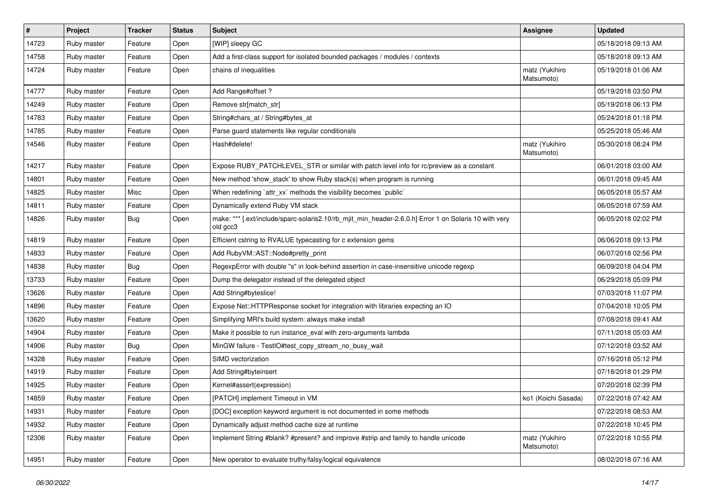| $\vert$ # | Project     | <b>Tracker</b> | <b>Status</b> | <b>Subject</b>                                                                                                    | Assignee                     | <b>Updated</b>      |
|-----------|-------------|----------------|---------------|-------------------------------------------------------------------------------------------------------------------|------------------------------|---------------------|
| 14723     | Ruby master | Feature        | Open          | [WIP] sleepy GC                                                                                                   |                              | 05/18/2018 09:13 AM |
| 14758     | Ruby master | Feature        | Open          | Add a first-class support for isolated bounded packages / modules / contexts                                      |                              | 05/18/2018 09:13 AM |
| 14724     | Ruby master | Feature        | Open          | chains of inequalities                                                                                            | matz (Yukihiro<br>Matsumoto) | 05/19/2018 01:06 AM |
| 14777     | Ruby master | Feature        | Open          | Add Range#offset?                                                                                                 |                              | 05/19/2018 03:50 PM |
| 14249     | Ruby master | Feature        | Open          | Remove str[match_str]                                                                                             |                              | 05/19/2018 06:13 PM |
| 14783     | Ruby master | Feature        | Open          | String#chars_at / String#bytes_at                                                                                 |                              | 05/24/2018 01:18 PM |
| 14785     | Ruby master | Feature        | Open          | Parse guard statements like regular conditionals                                                                  |                              | 05/25/2018 05:46 AM |
| 14546     | Ruby master | Feature        | Open          | Hash#delete!                                                                                                      | matz (Yukihiro<br>Matsumoto) | 05/30/2018 08:24 PM |
| 14217     | Ruby master | Feature        | Open          | Expose RUBY_PATCHLEVEL_STR or similar with patch level info for rc/preview as a constant                          |                              | 06/01/2018 03:00 AM |
| 14801     | Ruby master | Feature        | Open          | New method 'show_stack' to show Ruby stack(s) when program is running                                             |                              | 06/01/2018 09:45 AM |
| 14825     | Ruby master | Misc           | Open          | When redefining 'attr_xx' methods the visibility becomes 'public'                                                 |                              | 06/05/2018 05:57 AM |
| 14811     | Ruby master | Feature        | Open          | Dynamically extend Ruby VM stack                                                                                  |                              | 06/05/2018 07:59 AM |
| 14826     | Ruby master | <b>Bug</b>     | Open          | make: *** [.ext/include/sparc-solaris2.10/rb_mjit_min_header-2.6.0.h] Error 1 on Solaris 10 with very<br>old gcc3 |                              | 06/05/2018 02:02 PM |
| 14819     | Ruby master | Feature        | Open          | Efficient cstring to RVALUE typecasting for c extension gems                                                      |                              | 06/06/2018 09:13 PM |
| 14833     | Ruby master | Feature        | Open          | Add RubyVM::AST::Node#pretty_print                                                                                |                              | 06/07/2018 02:56 PM |
| 14838     | Ruby master | <b>Bug</b>     | Open          | RegexpError with double "s" in look-behind assertion in case-insensitive unicode regexp                           |                              | 06/09/2018 04:04 PM |
| 13733     | Ruby master | Feature        | Open          | Dump the delegator instead of the delegated object                                                                |                              | 06/29/2018 05:09 PM |
| 13626     | Ruby master | Feature        | Open          | Add String#byteslice!                                                                                             |                              | 07/03/2018 11:07 PM |
| 14896     | Ruby master | Feature        | Open          | Expose Net::HTTPResponse socket for integration with libraries expecting an IO                                    |                              | 07/04/2018 10:05 PM |
| 13620     | Ruby master | Feature        | Open          | Simplifying MRI's build system: always make install                                                               |                              | 07/08/2018 09:41 AM |
| 14904     | Ruby master | Feature        | Open          | Make it possible to run instance_eval with zero-arguments lambda                                                  |                              | 07/11/2018 05:03 AM |
| 14906     | Ruby master | Bug            | Open          | MinGW failure - TestIO#test_copy_stream_no_busy_wait                                                              |                              | 07/12/2018 03:52 AM |
| 14328     | Ruby master | Feature        | Open          | SIMD vectorization                                                                                                |                              | 07/16/2018 05:12 PM |
| 14919     | Ruby master | Feature        | Open          | Add String#byteinsert                                                                                             |                              | 07/18/2018 01:29 PM |
| 14925     | Ruby master | Feature        | Open          | Kernel#assert(expression)                                                                                         |                              | 07/20/2018 02:39 PM |
| 14859     | Ruby master | Feature        | Open          | [PATCH] implement Timeout in VM                                                                                   | ko1 (Koichi Sasada)          | 07/22/2018 07:42 AM |
| 14931     | Ruby master | Feature        | Open          | [DOC] exception keyword argument is not documented in some methods                                                |                              | 07/22/2018 08:53 AM |
| 14932     | Ruby master | Feature        | Open          | Dynamically adjust method cache size at runtime                                                                   |                              | 07/22/2018 10:45 PM |
| 12306     | Ruby master | Feature        | Open          | Implement String #blank? #present? and improve #strip and family to handle unicode                                | matz (Yukihiro<br>Matsumoto) | 07/22/2018 10:55 PM |
| 14951     | Ruby master | Feature        | Open          | New operator to evaluate truthy/falsy/logical equivalence                                                         |                              | 08/02/2018 07:16 AM |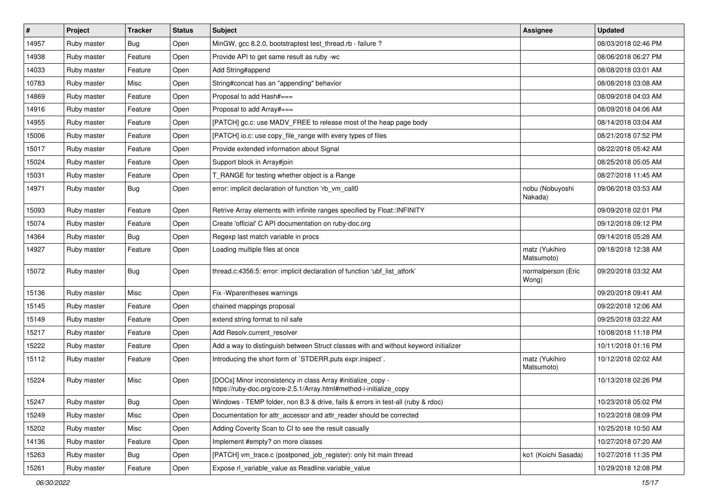| $\vert$ # | Project     | <b>Tracker</b> | <b>Status</b> | <b>Subject</b>                                                                                                                      | <b>Assignee</b>              | <b>Updated</b>      |
|-----------|-------------|----------------|---------------|-------------------------------------------------------------------------------------------------------------------------------------|------------------------------|---------------------|
| 14957     | Ruby master | <b>Bug</b>     | Open          | MinGW, gcc 8.2.0, bootstraptest test_thread.rb - failure ?                                                                          |                              | 08/03/2018 02:46 PM |
| 14938     | Ruby master | Feature        | Open          | Provide API to get same result as ruby -wc                                                                                          |                              | 08/06/2018 06:27 PM |
| 14033     | Ruby master | Feature        | Open          | Add String#append                                                                                                                   |                              | 08/08/2018 03:01 AM |
| 10783     | Ruby master | Misc           | Open          | String#concat has an "appending" behavior                                                                                           |                              | 08/08/2018 03:08 AM |
| 14869     | Ruby master | Feature        | Open          | Proposal to add Hash#===                                                                                                            |                              | 08/09/2018 04:03 AM |
| 14916     | Ruby master | Feature        | Open          | Proposal to add Array#===                                                                                                           |                              | 08/09/2018 04:06 AM |
| 14955     | Ruby master | Feature        | Open          | [PATCH] gc.c: use MADV_FREE to release most of the heap page body                                                                   |                              | 08/14/2018 03:04 AM |
| 15006     | Ruby master | Feature        | Open          | [PATCH] io.c: use copy_file_range with every types of files                                                                         |                              | 08/21/2018 07:52 PM |
| 15017     | Ruby master | Feature        | Open          | Provide extended information about Signal                                                                                           |                              | 08/22/2018 05:42 AM |
| 15024     | Ruby master | Feature        | Open          | Support block in Array#join                                                                                                         |                              | 08/25/2018 05:05 AM |
| 15031     | Ruby master | Feature        | Open          | T_RANGE for testing whether object is a Range                                                                                       |                              | 08/27/2018 11:45 AM |
| 14971     | Ruby master | <b>Bug</b>     | Open          | error: implicit declaration of function 'rb_vm_call0                                                                                | nobu (Nobuyoshi<br>Nakada)   | 09/06/2018 03:53 AM |
| 15093     | Ruby master | Feature        | Open          | Retrive Array elements with infinite ranges specified by Float:: INFINITY                                                           |                              | 09/09/2018 02:01 PM |
| 15074     | Ruby master | Feature        | Open          | Create 'official' C API documentation on ruby-doc.org                                                                               |                              | 09/12/2018 09:12 PM |
| 14364     | Ruby master | Bug            | Open          | Regexp last match variable in procs                                                                                                 |                              | 09/14/2018 05:28 AM |
| 14927     | Ruby master | Feature        | Open          | Loading multiple files at once                                                                                                      | matz (Yukihiro<br>Matsumoto) | 09/18/2018 12:38 AM |
| 15072     | Ruby master | <b>Bug</b>     | Open          | thread.c:4356:5: error: implicit declaration of function 'ubf_list_atfork'                                                          | normalperson (Eric<br>Wong)  | 09/20/2018 03:32 AM |
| 15136     | Ruby master | Misc           | Open          | Fix -Wparentheses warnings                                                                                                          |                              | 09/20/2018 09:41 AM |
| 15145     | Ruby master | Feature        | Open          | chained mappings proposal                                                                                                           |                              | 09/22/2018 12:06 AM |
| 15149     | Ruby master | Feature        | Open          | extend string format to nil safe                                                                                                    |                              | 09/25/2018 03:22 AM |
| 15217     | Ruby master | Feature        | Open          | Add Resolv.current_resolver                                                                                                         |                              | 10/08/2018 11:18 PM |
| 15222     | Ruby master | Feature        | Open          | Add a way to distinguish between Struct classes with and without keyword initializer                                                |                              | 10/11/2018 01:16 PM |
| 15112     | Ruby master | Feature        | Open          | Introducing the short form of `STDERR.puts expr.inspect`.                                                                           | matz (Yukihiro<br>Matsumoto) | 10/12/2018 02:02 AM |
| 15224     | Ruby master | Misc           | Open          | [DOCs] Minor inconsistency in class Array #initialize_copy -<br>https://ruby-doc.org/core-2.5.1/Array.html#method-i-initialize_copy |                              | 10/13/2018 02:26 PM |
| 15247     | Ruby master | <b>Bug</b>     | Open          | Windows - TEMP folder, non 8.3 & drive, fails & errors in test-all (ruby & rdoc)                                                    |                              | 10/23/2018 05:02 PM |
| 15249     | Ruby master | Misc           | Open          | Documentation for attr_accessor and attr_reader should be corrected                                                                 |                              | 10/23/2018 08:09 PM |
| 15202     | Ruby master | Misc           | Open          | Adding Coverity Scan to CI to see the result casually                                                                               |                              | 10/25/2018 10:50 AM |
| 14136     | Ruby master | Feature        | Open          | Implement #empty? on more classes                                                                                                   |                              | 10/27/2018 07:20 AM |
| 15263     | Ruby master | Bug            | Open          | [PATCH] vm trace.c (postponed job register): only hit main thread                                                                   | ko1 (Koichi Sasada)          | 10/27/2018 11:35 PM |
| 15261     | Ruby master | Feature        | Open          | Expose rl_variable_value as Readline.variable_value                                                                                 |                              | 10/29/2018 12:08 PM |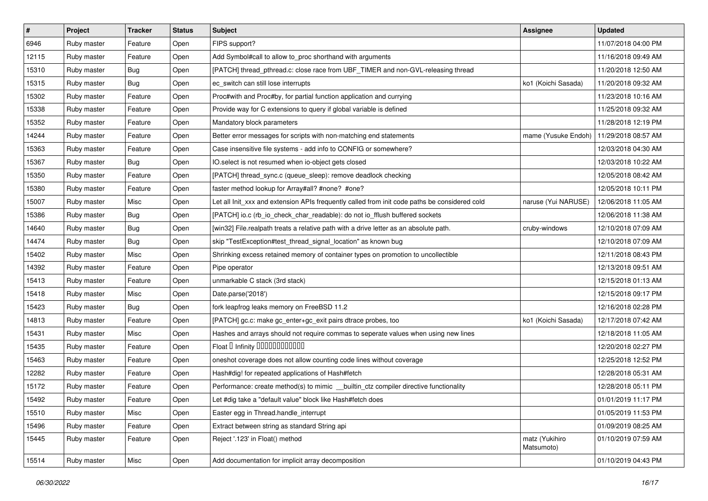| #     | Project     | <b>Tracker</b> | <b>Status</b> | Subject                                                                                       | Assignee                     | <b>Updated</b>      |
|-------|-------------|----------------|---------------|-----------------------------------------------------------------------------------------------|------------------------------|---------------------|
| 6946  | Ruby master | Feature        | Open          | FIPS support?                                                                                 |                              | 11/07/2018 04:00 PM |
| 12115 | Ruby master | Feature        | Open          | Add Symbol#call to allow to_proc shorthand with arguments                                     |                              | 11/16/2018 09:49 AM |
| 15310 | Ruby master | Bug            | Open          | [PATCH] thread_pthread.c: close race from UBF_TIMER and non-GVL-releasing thread              |                              | 11/20/2018 12:50 AM |
| 15315 | Ruby master | Bug            | Open          | ec_switch can still lose interrupts                                                           | ko1 (Koichi Sasada)          | 11/20/2018 09:32 AM |
| 15302 | Ruby master | Feature        | Open          | Proc#with and Proc#by, for partial function application and currying                          |                              | 11/23/2018 10:16 AM |
| 15338 | Ruby master | Feature        | Open          | Provide way for C extensions to query if global variable is defined                           |                              | 11/25/2018 09:32 AM |
| 15352 | Ruby master | Feature        | Open          | Mandatory block parameters                                                                    |                              | 11/28/2018 12:19 PM |
| 14244 | Ruby master | Feature        | Open          | Better error messages for scripts with non-matching end statements                            | mame (Yusuke Endoh)          | 11/29/2018 08:57 AM |
| 15363 | Ruby master | Feature        | Open          | Case insensitive file systems - add info to CONFIG or somewhere?                              |                              | 12/03/2018 04:30 AM |
| 15367 | Ruby master | <b>Bug</b>     | Open          | IO.select is not resumed when io-object gets closed                                           |                              | 12/03/2018 10:22 AM |
| 15350 | Ruby master | Feature        | Open          | [PATCH] thread_sync.c (queue_sleep): remove deadlock checking                                 |                              | 12/05/2018 08:42 AM |
| 15380 | Ruby master | Feature        | Open          | faster method lookup for Array#all? #none? #one?                                              |                              | 12/05/2018 10:11 PM |
| 15007 | Ruby master | Misc           | Open          | Let all Init_xxx and extension APIs frequently called from init code paths be considered cold | naruse (Yui NARUSE)          | 12/06/2018 11:05 AM |
| 15386 | Ruby master | Bug            | Open          | [PATCH] io.c (rb_io_check_char_readable): do not io_fflush buffered sockets                   |                              | 12/06/2018 11:38 AM |
| 14640 | Ruby master | <b>Bug</b>     | Open          | [win32] File.realpath treats a relative path with a drive letter as an absolute path.         | cruby-windows                | 12/10/2018 07:09 AM |
| 14474 | Ruby master | Bug            | Open          | skip "TestException#test_thread_signal_location" as known bug                                 |                              | 12/10/2018 07:09 AM |
| 15402 | Ruby master | Misc           | Open          | Shrinking excess retained memory of container types on promotion to uncollectible             |                              | 12/11/2018 08:43 PM |
| 14392 | Ruby master | Feature        | Open          | Pipe operator                                                                                 |                              | 12/13/2018 09:51 AM |
| 15413 | Ruby master | Feature        | Open          | unmarkable C stack (3rd stack)                                                                |                              | 12/15/2018 01:13 AM |
| 15418 | Ruby master | Misc           | Open          | Date.parse('2018')                                                                            |                              | 12/15/2018 09:17 PM |
| 15423 | Ruby master | Bug            | Open          | fork leapfrog leaks memory on FreeBSD 11.2                                                    |                              | 12/16/2018 02:28 PM |
| 14813 | Ruby master | Feature        | Open          | [PATCH] gc.c: make gc_enter+gc_exit pairs dtrace probes, too                                  | ko1 (Koichi Sasada)          | 12/17/2018 07:42 AM |
| 15431 | Ruby master | Misc           | Open          | Hashes and arrays should not require commas to seperate values when using new lines           |                              | 12/18/2018 11:05 AM |
| 15435 | Ruby master | Feature        | Open          | Float D Infinity 000000000000                                                                 |                              | 12/20/2018 02:27 PM |
| 15463 | Ruby master | Feature        | Open          | oneshot coverage does not allow counting code lines without coverage                          |                              | 12/25/2018 12:52 PM |
| 12282 | Ruby master | Feature        | Open          | Hash#dig! for repeated applications of Hash#fetch                                             |                              | 12/28/2018 05:31 AM |
| 15172 | Ruby master | Feature        | Open          | Performance: create method(s) to mimic _builtin_ctz compiler directive functionality          |                              | 12/28/2018 05:11 PM |
| 15492 | Ruby master | Feature        | Open          | Let #dig take a "default value" block like Hash#fetch does                                    |                              | 01/01/2019 11:17 PM |
| 15510 | Ruby master | Misc           | Open          | Easter egg in Thread.handle interrupt                                                         |                              | 01/05/2019 11:53 PM |
| 15496 | Ruby master | Feature        | Open          | Extract between string as standard String api                                                 |                              | 01/09/2019 08:25 AM |
| 15445 | Ruby master | Feature        | Open          | Reject '.123' in Float() method                                                               | matz (Yukihiro<br>Matsumoto) | 01/10/2019 07:59 AM |
| 15514 | Ruby master | Misc           | Open          | Add documentation for implicit array decomposition                                            |                              | 01/10/2019 04:43 PM |